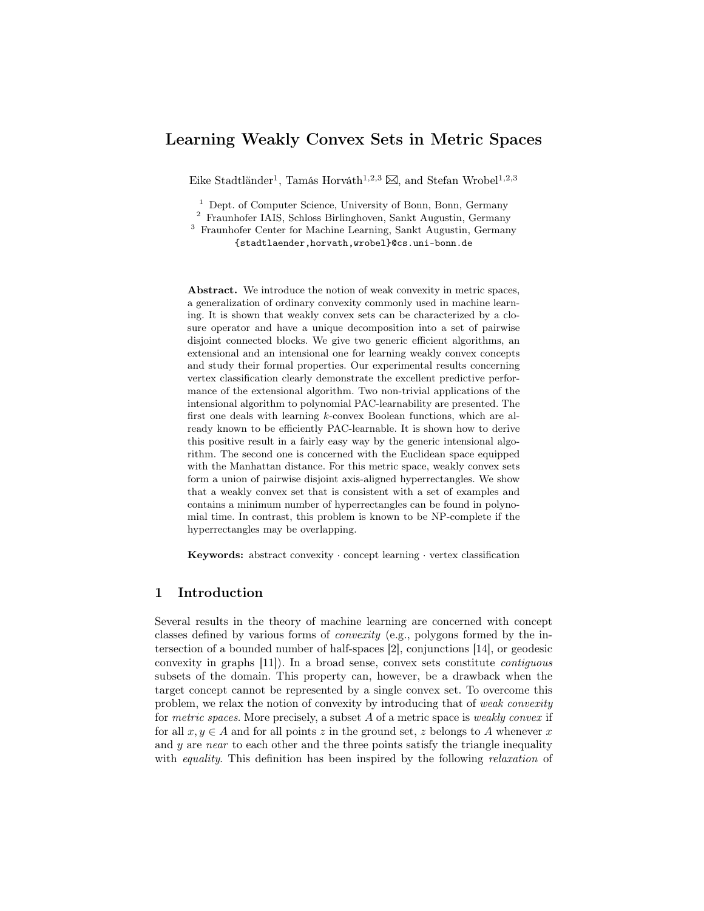# Learning Weakly Convex Sets in Metric Spaces

Eike Stadtländer<sup>1</sup>, Tamás Horváth<sup>1,2,3</sup>  $\boxtimes$ , and Stefan Wrobel<sup>1,2,3</sup>

<sup>1</sup> Dept. of Computer Science, University of Bonn, Bonn, Germany

<sup>2</sup> Fraunhofer IAIS, Schloss Birlinghoven, Sankt Augustin, Germany

<sup>3</sup> Fraunhofer Center for Machine Learning, Sankt Augustin, Germany {stadtlaender,horvath,wrobel}@cs.uni-bonn.de

Abstract. We introduce the notion of weak convexity in metric spaces, a generalization of ordinary convexity commonly used in machine learning. It is shown that weakly convex sets can be characterized by a closure operator and have a unique decomposition into a set of pairwise disjoint connected blocks. We give two generic efficient algorithms, an extensional and an intensional one for learning weakly convex concepts and study their formal properties. Our experimental results concerning vertex classification clearly demonstrate the excellent predictive performance of the extensional algorithm. Two non-trivial applications of the intensional algorithm to polynomial PAC-learnability are presented. The first one deals with learning k-convex Boolean functions, which are already known to be efficiently PAC-learnable. It is shown how to derive this positive result in a fairly easy way by the generic intensional algorithm. The second one is concerned with the Euclidean space equipped with the Manhattan distance. For this metric space, weakly convex sets form a union of pairwise disjoint axis-aligned hyperrectangles. We show that a weakly convex set that is consistent with a set of examples and contains a minimum number of hyperrectangles can be found in polynomial time. In contrast, this problem is known to be NP-complete if the hyperrectangles may be overlapping.

Keywords: abstract convexity · concept learning · vertex classification

# 1 Introduction

Several results in the theory of machine learning are concerned with concept classes defined by various forms of convexity (e.g., polygons formed by the intersection of a bounded number of half-spaces [2], conjunctions [14], or geodesic convexity in graphs [11]). In a broad sense, convex sets constitute contiguous subsets of the domain. This property can, however, be a drawback when the target concept cannot be represented by a single convex set. To overcome this problem, we relax the notion of convexity by introducing that of weak convexity for *metric spaces*. More precisely, a subset  $A$  of a metric space is *weakly convex* if for all  $x, y \in A$  and for all points z in the ground set, z belongs to A whenever x and  $y$  are near to each other and the three points satisfy the triangle inequality with *equality*. This definition has been inspired by the following *relaxation* of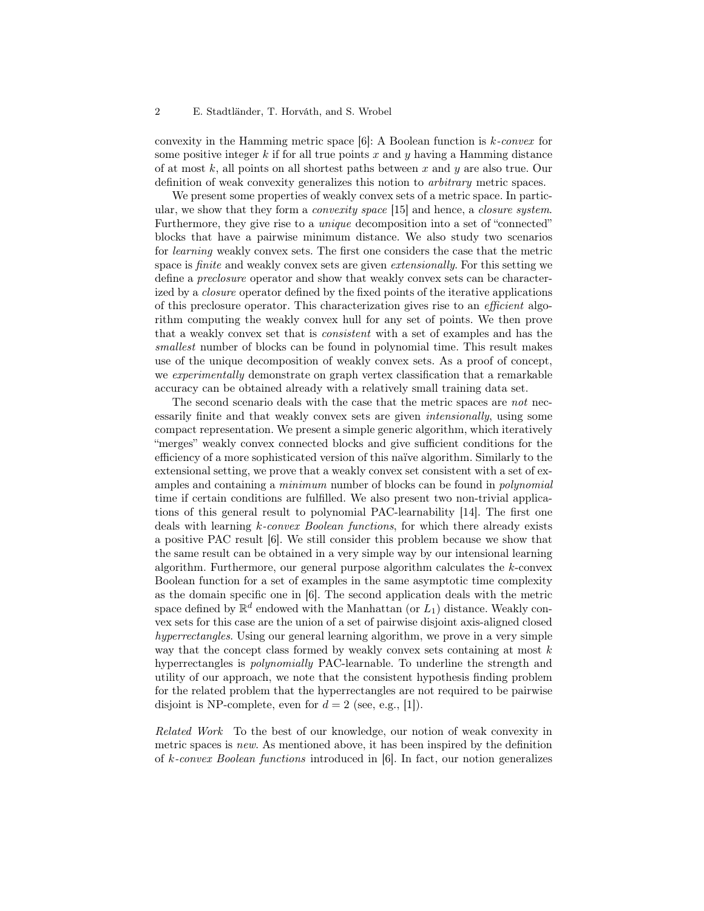convexity in the Hamming metric space  $[6]$ : A Boolean function is k-convex for some positive integer k if for all true points x and y having a Hamming distance of at most  $k$ , all points on all shortest paths between x and y are also true. Our definition of weak convexity generalizes this notion to arbitrary metric spaces.

We present some properties of weakly convex sets of a metric space. In particular, we show that they form a convexity space [15] and hence, a closure system. Furthermore, they give rise to a *unique* decomposition into a set of "connected" blocks that have a pairwise minimum distance. We also study two scenarios for learning weakly convex sets. The first one considers the case that the metric space is finite and weakly convex sets are given extensionally. For this setting we define a preclosure operator and show that weakly convex sets can be characterized by a closure operator defined by the fixed points of the iterative applications of this preclosure operator. This characterization gives rise to an efficient algorithm computing the weakly convex hull for any set of points. We then prove that a weakly convex set that is consistent with a set of examples and has the smallest number of blocks can be found in polynomial time. This result makes use of the unique decomposition of weakly convex sets. As a proof of concept, we *experimentally* demonstrate on graph vertex classification that a remarkable accuracy can be obtained already with a relatively small training data set.

The second scenario deals with the case that the metric spaces are *not* necessarily finite and that weakly convex sets are given intensionally, using some compact representation. We present a simple generic algorithm, which iteratively "merges" weakly convex connected blocks and give sufficient conditions for the efficiency of a more sophisticated version of this naïve algorithm. Similarly to the extensional setting, we prove that a weakly convex set consistent with a set of examples and containing a minimum number of blocks can be found in polynomial time if certain conditions are fulfilled. We also present two non-trivial applications of this general result to polynomial PAC-learnability [14]. The first one deals with learning *k*-convex Boolean functions, for which there already exists a positive PAC result [6]. We still consider this problem because we show that the same result can be obtained in a very simple way by our intensional learning algorithm. Furthermore, our general purpose algorithm calculates the k-convex Boolean function for a set of examples in the same asymptotic time complexity as the domain specific one in [6]. The second application deals with the metric space defined by  $\mathbb{R}^d$  endowed with the Manhattan (or  $L_1$ ) distance. Weakly convex sets for this case are the union of a set of pairwise disjoint axis-aligned closed hyperrectangles. Using our general learning algorithm, we prove in a very simple way that the concept class formed by weakly convex sets containing at most  $k$ hyperrectangles is polynomially PAC-learnable. To underline the strength and utility of our approach, we note that the consistent hypothesis finding problem for the related problem that the hyperrectangles are not required to be pairwise disjoint is NP-complete, even for  $d = 2$  (see, e.g., [1]).

Related Work To the best of our knowledge, our notion of weak convexity in metric spaces is *new*. As mentioned above, it has been inspired by the definition of k-convex Boolean functions introduced in [6]. In fact, our notion generalizes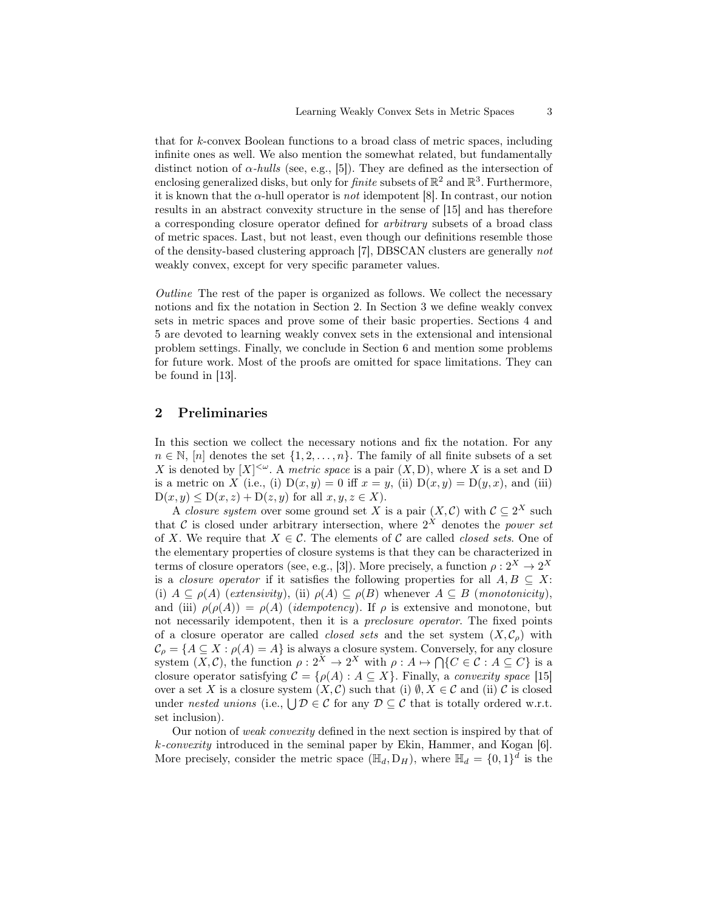that for k-convex Boolean functions to a broad class of metric spaces, including infinite ones as well. We also mention the somewhat related, but fundamentally distinct notion of  $\alpha$ -hulls (see, e.g., [5]). They are defined as the intersection of enclosing generalized disks, but only for *finite* subsets of  $\mathbb{R}^2$  and  $\mathbb{R}^3$ . Furthermore, it is known that the  $\alpha$ -hull operator is *not* idempotent [8]. In contrast, our notion results in an abstract convexity structure in the sense of [15] and has therefore a corresponding closure operator defined for arbitrary subsets of a broad class of metric spaces. Last, but not least, even though our definitions resemble those of the density-based clustering approach [7], DBSCAN clusters are generally not weakly convex, except for very specific parameter values.

Outline The rest of the paper is organized as follows. We collect the necessary notions and fix the notation in Section 2. In Section 3 we define weakly convex sets in metric spaces and prove some of their basic properties. Sections 4 and 5 are devoted to learning weakly convex sets in the extensional and intensional problem settings. Finally, we conclude in Section 6 and mention some problems for future work. Most of the proofs are omitted for space limitations. They can be found in [13].

## 2 Preliminaries

In this section we collect the necessary notions and fix the notation. For any  $n \in \mathbb{N}$ ,  $[n]$  denotes the set  $\{1, 2, \ldots, n\}$ . The family of all finite subsets of a set X is denoted by  $[X]^{<\omega}$ . A metric space is a pair  $(X, D)$ , where X is a set and D is a metric on X (i.e., (i)  $D(x, y) = 0$  iff  $x = y$ , (ii)  $D(x, y) = D(y, x)$ , and (iii)  $D(x, y) \leq D(x, z) + D(z, y)$  for all  $x, y, z \in X$ ).

A *closure system* over some ground set X is a pair  $(X, \mathcal{C})$  with  $\mathcal{C} \subseteq 2^X$  such that  $C$  is closed under arbitrary intersection, where  $2^X$  denotes the *power set* of X. We require that  $X \in \mathcal{C}$ . The elements of C are called *closed sets*. One of the elementary properties of closure systems is that they can be characterized in terms of closure operators (see, e.g., [3]). More precisely, a function  $\rho: 2^X \to 2^X$ is a *closure operator* if it satisfies the following properties for all  $A, B \subseteq X$ : (i)  $A \subseteq \rho(A)$  (extensivity), (ii)  $\rho(A) \subseteq \rho(B)$  whenever  $A \subseteq B$  (monotonicity), and (iii)  $\rho(\rho(A)) = \rho(A)$  (*idempotency*). If  $\rho$  is extensive and monotone, but not necessarily idempotent, then it is a preclosure operator. The fixed points of a closure operator are called *closed sets* and the set system  $(X, \mathcal{C}<sub>o</sub>)$  with  $\mathcal{C}_{\rho} = \{A \subseteq X : \rho(A) = A\}$  is always a closure system. Conversely, for any closure system  $(X, \mathcal{C})$ , the function  $\rho : 2^X \to 2^X$  with  $\rho : A \mapsto \bigcap \{C \in \mathcal{C} : A \subseteq C\}$  is a closure operator satisfying  $C = \{\rho(A) : A \subseteq X\}$ . Finally, a *convexity space* [15] over a set X is a closure system  $(X, \mathcal{C})$  such that (i)  $\emptyset, X \in \mathcal{C}$  and (ii)  $\mathcal{C}$  is closed under *nested unions* (i.e.,  $\bigcup \mathcal{D} \in \mathcal{C}$  for any  $\mathcal{D} \subseteq \mathcal{C}$  that is totally ordered w.r.t. set inclusion).

Our notion of weak convexity defined in the next section is inspired by that of k-convexity introduced in the seminal paper by Ekin, Hammer, and Kogan [6]. More precisely, consider the metric space  $(\mathbb{H}_d, D_H)$ , where  $\mathbb{H}_d = \{0,1\}^d$  is the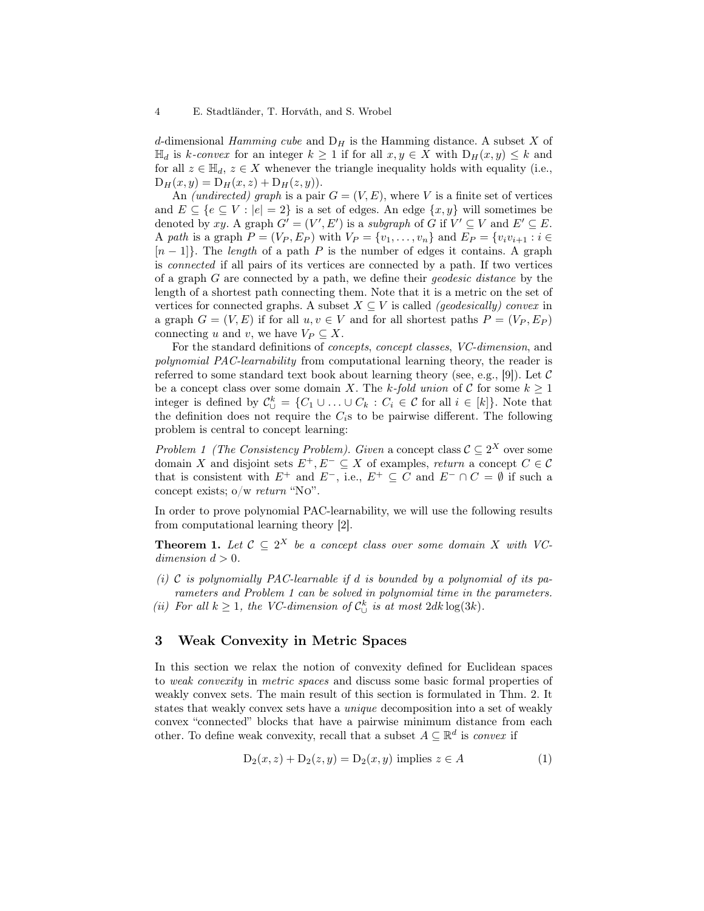d-dimensional Hamming cube and  $D_H$  is the Hamming distance. A subset X of  $\mathbb{H}_d$  is k-convex for an integer  $k \geq 1$  if for all  $x, y \in X$  with  $D_H(x, y) \leq k$  and for all  $z \in \mathbb{H}_d$ ,  $z \in X$  whenever the triangle inequality holds with equality (i.e.,  $D_H(x, y) = D_H(x, z) + D_H(z, y)$ .

An *(undirected)* graph is a pair  $G = (V, E)$ , where V is a finite set of vertices and  $E \subseteq \{e \subseteq V : |e| = 2\}$  is a set of edges. An edge  $\{x, y\}$  will sometimes be denoted by xy. A graph  $G' = (V', E')$  is a subgraph of G if  $V' \subseteq V$  and  $E' \subseteq E$ . A path is a graph  $P = (V_P, E_P)$  with  $V_P = \{v_1, \ldots, v_n\}$  and  $E_P = \{v_i v_{i+1} : i \in$  $[n-1]$ . The length of a path P is the number of edges it contains. A graph is connected if all pairs of its vertices are connected by a path. If two vertices of a graph G are connected by a path, we define their geodesic distance by the length of a shortest path connecting them. Note that it is a metric on the set of vertices for connected graphs. A subset  $X \subseteq V$  is called *(geodesically) convex* in a graph  $G = (V, E)$  if for all  $u, v \in V$  and for all shortest paths  $P = (V_P, E_P)$ connecting u and v, we have  $V_P \subset X$ .

For the standard definitions of *concepts*, *concept classes*, *VC-dimension*, and polynomial PAC-learnability from computational learning theory, the reader is referred to some standard text book about learning theory (see, e.g., [9]). Let  $\mathcal C$ be a concept class over some domain X. The k-fold union of C for some  $k \geq 1$ integer is defined by  $\mathcal{C}_{\cup}^k = \{C_1 \cup \ldots \cup C_k : C_i \in \mathcal{C} \text{ for all } i \in [k]\}.$  Note that the definition does not require the  $C_i$ s to be pairwise different. The following problem is central to concept learning:

Problem 1 (The Consistency Problem). Given a concept class  $C \subseteq 2^X$  over some domain X and disjoint sets  $E^+, E^- \subseteq X$  of examples, return a concept  $C \in \mathcal{C}$ that is consistent with  $E^+$  and  $E^-$ , i.e.,  $E^+ \subseteq C$  and  $E^- \cap C = \emptyset$  if such a concept exists;  $o/w$  return "No".

In order to prove polynomial PAC-learnability, we will use the following results from computational learning theory [2].

**Theorem 1.** Let  $C \subseteq 2^X$  be a concept class over some domain X with VCdimension  $d > 0$ .

(i) C is polynomially PAC-learnable if d is bounded by a polynomial of its parameters and Problem 1 can be solved in polynomial time in the parameters. (ii) For all  $k \geq 1$ , the VC-dimension of  $\mathcal{C}_{\cup}^k$  is at most  $2dk \log(3k)$ .

# 3 Weak Convexity in Metric Spaces

In this section we relax the notion of convexity defined for Euclidean spaces to weak convexity in metric spaces and discuss some basic formal properties of weakly convex sets. The main result of this section is formulated in Thm. 2. It states that weakly convex sets have a unique decomposition into a set of weakly convex "connected" blocks that have a pairwise minimum distance from each other. To define weak convexity, recall that a subset  $A \subseteq \mathbb{R}^d$  is *convex* if

$$
D_2(x, z) + D_2(z, y) = D_2(x, y) \text{ implies } z \in A
$$
 (1)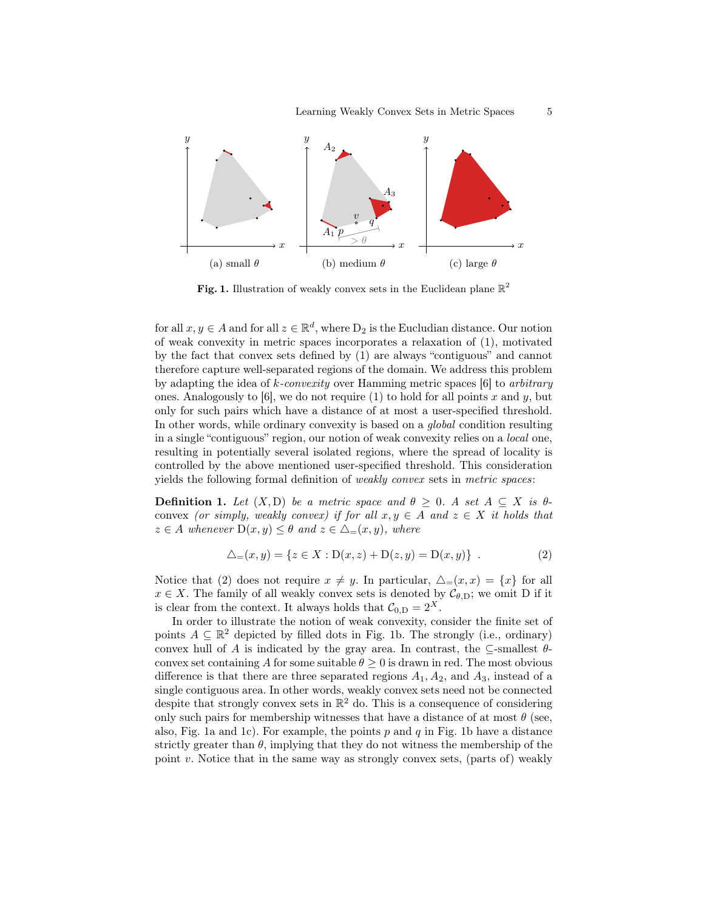

Fig. 1. Illustration of weakly convex sets in the Euclidean plane  $\mathbb{R}^2$ 

for all  $x, y \in A$  and for all  $z \in \mathbb{R}^d$ , where  $D_2$  is the Eucludian distance. Our notion of weak convexity in metric spaces incorporates a relaxation of (1), motivated by the fact that convex sets defined by (1) are always "contiguous" and cannot therefore capture well-separated regions of the domain. We address this problem by adapting the idea of k-convexity over Hamming metric spaces  $[6]$  to arbitrary ones. Analogously to [6], we do not require (1) to hold for all points x and y, but only for such pairs which have a distance of at most a user-specified threshold. In other words, while ordinary convexity is based on a global condition resulting in a single "contiguous" region, our notion of weak convexity relies on a local one, resulting in potentially several isolated regions, where the spread of locality is controlled by the above mentioned user-specified threshold. This consideration yields the following formal definition of weakly convex sets in metric spaces:

**Definition 1.** Let  $(X, D)$  be a metric space and  $\theta \geq 0$ . A set  $A \subseteq X$  is  $\theta$ convex (or simply, weakly convex) if for all  $x, y \in A$  and  $z \in X$  it holds that  $z \in A$  whenever  $D(x, y) \leq \theta$  and  $z \in \Delta_{=}(x, y)$ , where

$$
\triangle_{=}(x,y) = \{ z \in X : D(x,z) + D(z,y) = D(x,y) \} .
$$
 (2)

Notice that (2) does not require  $x \neq y$ . In particular,  $\Delta=(x, x) = \{x\}$  for all  $x \in X$ . The family of all weakly convex sets is denoted by  $\mathcal{C}_{\theta,D}$ ; we omit D if it is clear from the context. It always holds that  $C_{0,D} = 2^X$ .

In order to illustrate the notion of weak convexity, consider the finite set of points  $A \subseteq \mathbb{R}^2$  depicted by filled dots in Fig. 1b. The strongly (i.e., ordinary) convex hull of A is indicated by the gray area. In contrast, the  $\subseteq$ -smallest  $\theta$ convex set containing A for some suitable  $\theta \geq 0$  is drawn in red. The most obvious difference is that there are three separated regions  $A_1, A_2$ , and  $A_3$ , instead of a single contiguous area. In other words, weakly convex sets need not be connected despite that strongly convex sets in  $\mathbb{R}^2$  do. This is a consequence of considering only such pairs for membership witnesses that have a distance of at most  $\theta$  (see, also, Fig. 1a and 1c). For example, the points  $p$  and  $q$  in Fig. 1b have a distance strictly greater than  $\theta$ , implying that they do not witness the membership of the point v. Notice that in the same way as strongly convex sets, (parts of) weakly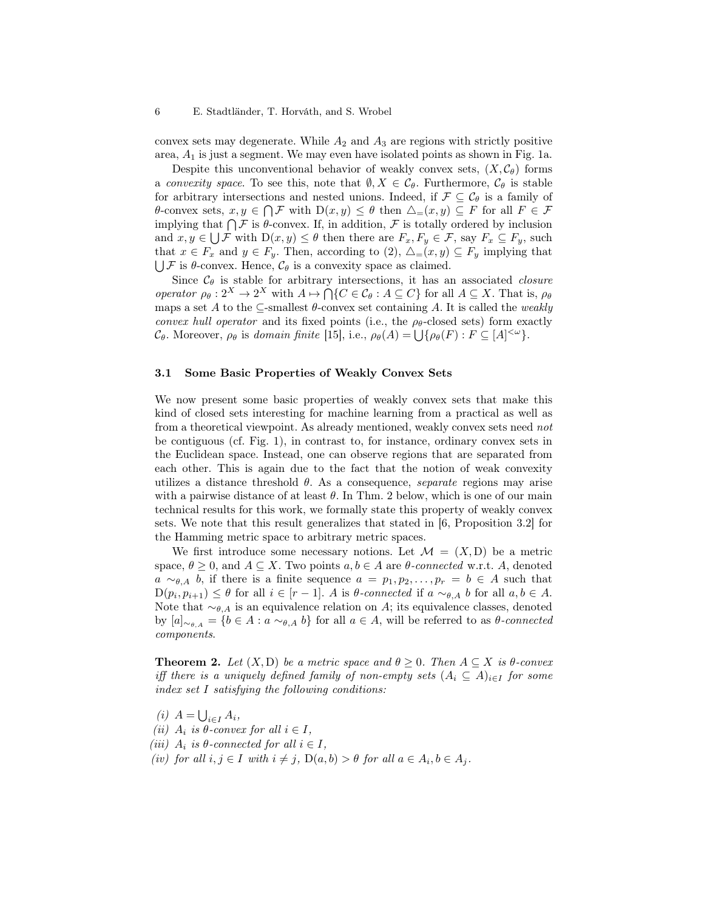convex sets may degenerate. While  $A_2$  and  $A_3$  are regions with strictly positive area,  $A_1$  is just a segment. We may even have isolated points as shown in Fig. 1a.

Despite this unconventional behavior of weakly convex sets,  $(X, \mathcal{C}_{\theta})$  forms a convexity space. To see this, note that  $\emptyset, X \in \mathcal{C}_{\theta}$ . Furthermore,  $\mathcal{C}_{\theta}$  is stable for arbitrary intersections and nested unions. Indeed, if  $\mathcal{F} \subseteq \mathcal{C}_{\theta}$  is a family of  $\theta$ -convex sets,  $x, y \in \bigcap \mathcal{F}$  with  $D(x, y) \leq \theta$  then  $\triangle_{=}(x, y) \subseteq F$  for all  $F \in \mathcal{F}$ implying that  $\bigcap \mathcal{F}$  is  $\theta$ -convex. If, in addition,  $\mathcal{F}$  is totally ordered by inclusion and  $x, y \in \bigcup \mathcal{F}$  with  $D(x, y) \leq \theta$  then there are  $F_x, F_y \in \mathcal{F}$ , say  $F_x \subseteq F_y$ , such that  $x \in F_x$  and  $y \in F_y$ . Then, according to  $(2)$ ,  $\triangle=(x, y) \subseteq F_y$  implying that  $\bigcup \mathcal{F}$  is  $\theta$ -convex. Hence,  $\mathcal{C}_{\theta}$  is a convexity space as claimed.

Since  $\mathcal{C}_{\theta}$  is stable for arbitrary intersections, it has an associated *closure* operator  $\rho_{\theta}: 2^X \to 2^X$  with  $A \mapsto \bigcap \{C \in \mathcal{C}_{\theta}: A \subseteq C\}$  for all  $A \subseteq X$ . That is,  $\rho_{\theta}$ maps a set A to the  $\subseteq$ -smallest  $\theta$ -convex set containing A. It is called the *weakly* convex hull operator and its fixed points (i.e., the  $\rho_{\theta}$ -closed sets) form exactly  $\mathcal{C}_{\theta}$ . Moreover,  $\rho_{\theta}$  is domain finite [15], i.e.,  $\rho_{\theta}(A) = \bigcup \{ \rho_{\theta}(F) : F \subseteq [A]^{<\omega} \}.$ 

#### 3.1 Some Basic Properties of Weakly Convex Sets

We now present some basic properties of weakly convex sets that make this kind of closed sets interesting for machine learning from a practical as well as from a theoretical viewpoint. As already mentioned, weakly convex sets need not be contiguous (cf. Fig. 1), in contrast to, for instance, ordinary convex sets in the Euclidean space. Instead, one can observe regions that are separated from each other. This is again due to the fact that the notion of weak convexity utilizes a distance threshold  $\theta$ . As a consequence, separate regions may arise with a pairwise distance of at least  $\theta$ . In Thm. 2 below, which is one of our main technical results for this work, we formally state this property of weakly convex sets. We note that this result generalizes that stated in [6, Proposition 3.2] for the Hamming metric space to arbitrary metric spaces.

We first introduce some necessary notions. Let  $\mathcal{M} = (X, D)$  be a metric space,  $\theta \geq 0$ , and  $A \subseteq X$ . Two points  $a, b \in A$  are  $\theta$ -connected w.r.t. A, denoted  $a \sim_{\theta, A} b$ , if there is a finite sequence  $a = p_1, p_2, \ldots, p_r = b \in A$  such that  $D(p_i, p_{i+1}) \leq \theta$  for all  $i \in [r-1]$ . A is  $\theta$ -connected if  $a \sim_{\theta, A} b$  for all  $a, b \in A$ . Note that  $\sim_{\theta,A}$  is an equivalence relation on A; its equivalence classes, denoted by  $[a]_{\sim_{\theta,A}} = \{b \in A : a \sim_{\theta,A} b\}$  for all  $a \in A$ , will be referred to as  $\theta$ -connected components.

**Theorem 2.** Let  $(X, D)$  be a metric space and  $\theta \ge 0$ . Then  $A \subseteq X$  is  $\theta$ -convex iff there is a uniquely defined family of non-empty sets  $(A_i \subseteq A)_{i \in I}$  for some index set I satisfying the following conditions:

- (i)  $A = \bigcup_{i \in I} A_i,$
- (ii)  $A_i$  is  $\theta$ -convex for all  $i \in I$ ,
- (iii)  $A_i$  is  $\theta$ -connected for all  $i \in I$ ,
- (iv) for all  $i, j \in I$  with  $i \neq j$ ,  $D(a, b) > \theta$  for all  $a \in A_i, b \in A_j$ .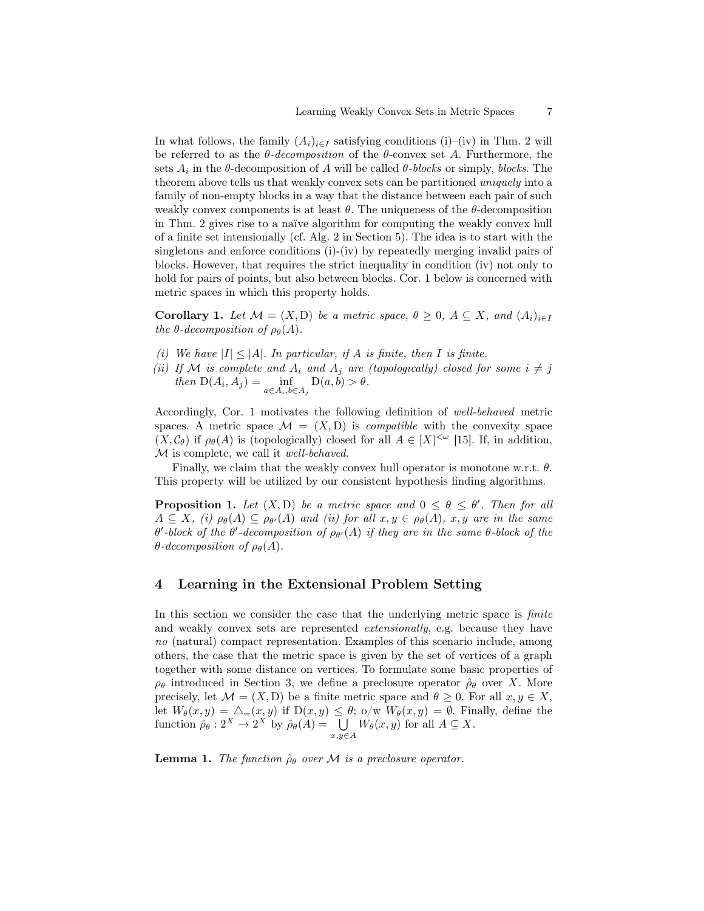In what follows, the family  $(A_i)_{i\in I}$  satisfying conditions (i)–(iv) in Thm. 2 will be referred to as the  $\theta$ -decomposition of the  $\theta$ -convex set A. Furthermore, the sets  $A_i$  in the  $\theta$ -decomposition of A will be called  $\theta$ -blocks or simply, blocks. The theorem above tells us that weakly convex sets can be partitioned uniquely into a family of non-empty blocks in a way that the distance between each pair of such weakly convex components is at least  $\theta$ . The uniqueness of the  $\theta$ -decomposition in Thm. 2 gives rise to a naïve algorithm for computing the weakly convex hull of a finite set intensionally (cf. Alg. 2 in Section 5). The idea is to start with the singletons and enforce conditions (i)-(iv) by repeatedly merging invalid pairs of blocks. However, that requires the strict inequality in condition (iv) not only to hold for pairs of points, but also between blocks. Cor. 1 below is concerned with metric spaces in which this property holds.

Corollary 1. Let  $\mathcal{M} = (X, D)$  be a metric space,  $\theta \geq 0$ ,  $A \subseteq X$ , and  $(A_i)_{i \in I}$ the  $\theta$ -decomposition of  $\rho_{\theta}(A)$ .

- (i) We have  $|I| \leq |A|$ . In particular, if A is finite, then I is finite.
- (ii) If M is complete and  $A_i$  and  $A_j$  are (topologically) closed for some  $i \neq j$ then  $D(A_i, A_j) = \inf_{a \in A_i, b \in A_j} D(a, b) > \theta$ .

Accordingly, Cor. 1 motivates the following definition of well-behaved metric spaces. A metric space  $\mathcal{M} = (X, D)$  is *compatible* with the convexity space  $(X, \mathcal{C}_{\theta})$  if  $\rho_{\theta}(A)$  is (topologically) closed for all  $A \in [X]^{<\omega}$  [15]. If, in addition,  $M$  is complete, we call it *well-behaved*.

Finally, we claim that the weakly convex hull operator is monotone w.r.t.  $\theta$ . This property will be utilized by our consistent hypothesis finding algorithms.

**Proposition 1.** Let  $(X, D)$  be a metric space and  $0 \le \theta \le \theta'$ . Then for all  $A \subseteq X$ , (i)  $\rho_{\theta}(A) \subseteq \rho_{\theta'}(A)$  and (ii) for all  $x, y \in \rho_{\theta}(A)$ ,  $x, y$  are in the same θ'-block of the θ'-decomposition of  $ρ_{θ'}(A)$  if they are in the same θ-block of the  $\theta$ -decomposition of  $\rho_{\theta}(A)$ .

# 4 Learning in the Extensional Problem Setting

In this section we consider the case that the underlying metric space is *finite* and weakly convex sets are represented extensionally, e.g. because they have no (natural) compact representation. Examples of this scenario include, among others, the case that the metric space is given by the set of vertices of a graph together with some distance on vertices. To formulate some basic properties of  $\rho_{\theta}$  introduced in Section 3, we define a preclosure operator  $\rho_{\theta}$  over X. More precisely, let  $\mathcal{M} = (X, D)$  be a finite metric space and  $\theta \geq 0$ . For all  $x, y \in X$ , let  $W_{\theta}(x, y) = \triangle_{=}(x, y)$  if  $D(x, y) \leq \theta$ ; o/w  $W_{\theta}(x, y) = \emptyset$ . Finally, define the function  $\hat{\rho}_{\theta}: 2^X \to 2^X$  by  $\hat{\rho}_{\theta}(A) = \bigcup_{x,y \in A} W_{\theta}(x,y)$  for all  $A \subseteq X$ .

**Lemma 1.** The function  $\hat{\rho}_{\theta}$  over M is a preclosure operator.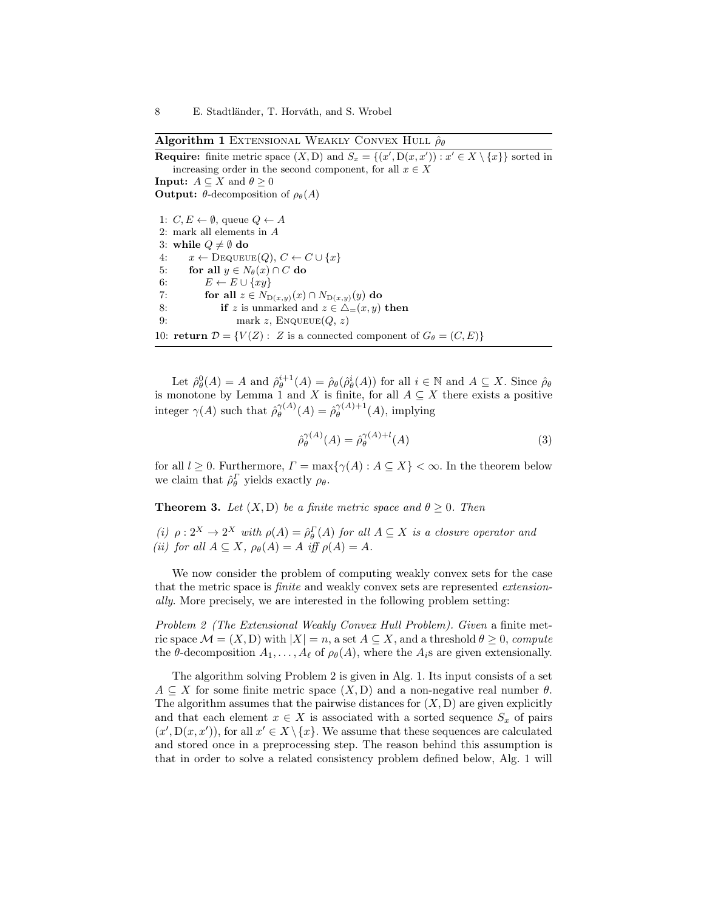Algorithm 1 EXTENSIONAL WEAKLY CONVEX HULL  $\hat{\rho}_{\theta}$ 

**Require:** finite metric space  $(X, D)$  and  $S_x = \{(x', D(x, x')) : x' \in X \setminus \{x\}\}\)$  sorted in increasing order in the second component, for all  $x \in X$ **Input:**  $A \subseteq X$  and  $\theta \ge 0$ **Output:**  $\theta$ -decomposition of  $\rho_{\theta}(A)$ 1:  $C, E \leftarrow \emptyset$ , queue  $Q \leftarrow A$ 2: mark all elements in A 3: while  $Q \neq \emptyset$  do 4:  $x \leftarrow \text{Dequeue}(Q), C \leftarrow C \cup \{x\}$ 5: for all  $y \in N_\theta(x) \cap C$  do 6:  $E \leftarrow E \cup \{xy\}$ 7: for all  $z \in N_{{\rm D}(x,y)}(x) \cap N_{{\rm D}(x,y)}(y)$  do 8: **if** z is unmarked and  $z \in \Delta_{=}(x, y)$  then 9: mark z,  $\text{EnQUEUE}(Q, z)$ 10: **return**  $\mathcal{D} = \{V(Z): Z \text{ is a connected component of } G_\theta = (C, E)\}\$ 

Let  $\hat{\rho}_{\theta}^{0}(A) = A$  and  $\hat{\rho}_{\theta}^{i+1}(A) = \hat{\rho}_{\theta}(\hat{\rho}_{\theta}^{i}(A))$  for all  $i \in \mathbb{N}$  and  $A \subseteq X$ . Since  $\hat{\rho}_{\theta}$ Let  $p_{\theta}(A) = A$  and  $p_{\theta}$   $(A) = p_{\theta}(p_{\theta}(A))$  for all  $t \in \mathbb{N}$  and  $A \subseteq X$ . Since  $p_{\theta}$ <br>is monotone by Lemma 1 and X is finite, for all  $A \subseteq X$  there exists a positive integer  $\gamma(A)$  such that  $\hat{\rho}_{\theta}^{\gamma(A)}$  $\widehat{\theta}_{\theta}^{\gamma(A)}(A) = \widehat{\rho}_{\theta}^{\gamma(A)+1}$  $\theta^{\gamma(A)+1}(A)$ , implying

$$
\hat{\rho}_{\theta}^{\gamma(A)}(A) = \hat{\rho}_{\theta}^{\gamma(A)+l}(A) \tag{3}
$$

for all  $l \geq 0$ . Furthermore,  $\Gamma = \max\{\gamma(A) : A \subseteq X\} < \infty$ . In the theorem below we claim that  $\hat{\rho}_{\theta}^{\Gamma}$  yields exactly  $\rho_{\theta}$ .

**Theorem 3.** Let  $(X, D)$  be a finite metric space and  $\theta > 0$ . Then

(i)  $\rho: 2^X \to 2^X$  with  $\rho(A) = \hat{\rho}_{\theta}^{\Gamma}(A)$  for all  $A \subseteq X$  is a closure operator and (ii) for all  $A \subseteq X$ ,  $\rho_{\theta}(A) = A$  iff  $\rho(A) = A$ .

We now consider the problem of computing weakly convex sets for the case that the metric space is finite and weakly convex sets are represented extensionally. More precisely, we are interested in the following problem setting:

Problem 2 (The Extensional Weakly Convex Hull Problem). Given a finite metric space  $\mathcal{M} = (X, D)$  with  $|X| = n$ , a set  $A \subseteq X$ , and a threshold  $\theta \geq 0$ , compute the  $\theta$ -decomposition  $A_1, \ldots, A_\ell$  of  $\rho_\theta(A)$ , where the  $A_i$ s are given extensionally.

The algorithm solving Problem 2 is given in Alg. 1. Its input consists of a set  $A \subseteq X$  for some finite metric space  $(X, D)$  and a non-negative real number  $\theta$ . The algorithm assumes that the pairwise distances for  $(X, D)$  are given explicitly and that each element  $x \in X$  is associated with a sorted sequence  $S_x$  of pairs  $(x', D(x, x')),$  for all  $x' \in X \setminus \{x\}$ . We assume that these sequences are calculated and stored once in a preprocessing step. The reason behind this assumption is that in order to solve a related consistency problem defined below, Alg. 1 will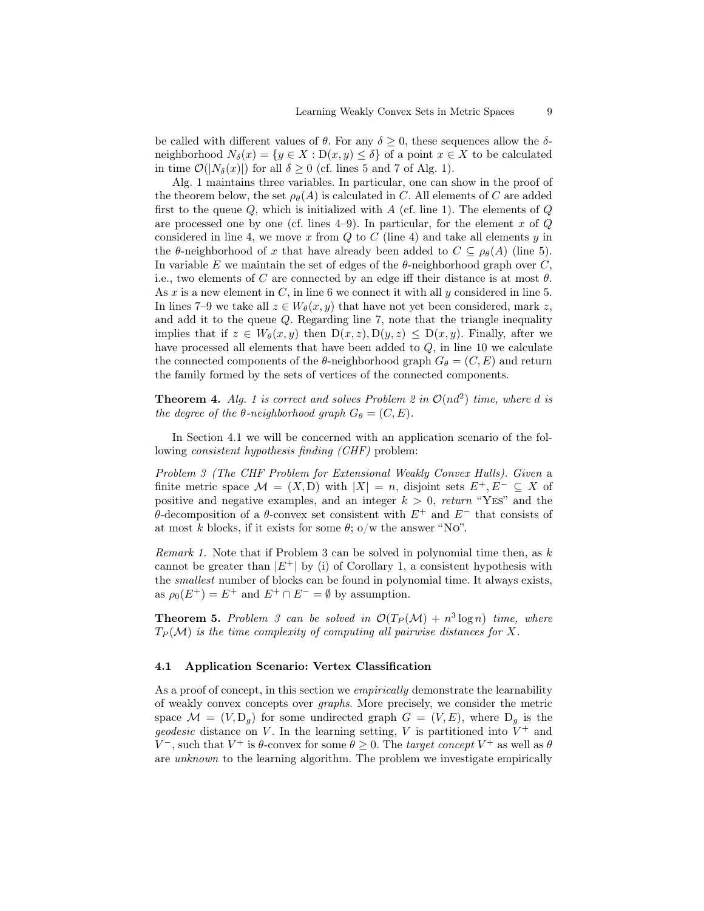be called with different values of  $\theta$ . For any  $\delta \geq 0$ , these sequences allow the  $\delta$ neighborhood  $N_{\delta}(x) = \{y \in X : D(x, y) \leq \delta\}$  of a point  $x \in X$  to be calculated in time  $\mathcal{O}(|N_\delta(x)|)$  for all  $\delta \geq 0$  (cf. lines 5 and 7 of Alg. 1).

Alg. 1 maintains three variables. In particular, one can show in the proof of the theorem below, the set  $\rho_{\theta}(A)$  is calculated in C. All elements of C are added first to the queue  $Q$ , which is initialized with  $A$  (cf. line 1). The elements of  $Q$ are processed one by one (cf. lines  $4-9$ ). In particular, for the element x of Q considered in line 4, we move x from  $Q$  to  $C$  (line 4) and take all elements y in the  $\theta$ -neighborhood of x that have already been added to  $C \subseteq \rho_{\theta}(A)$  (line 5). In variable E we maintain the set of edges of the  $\theta$ -neighborhood graph over C, i.e., two elements of C are connected by an edge iff their distance is at most  $\theta$ . As x is a new element in  $C$ , in line 6 we connect it with all y considered in line 5. In lines 7–9 we take all  $z \in W_\theta(x, y)$  that have not yet been considered, mark z, and add it to the queue Q. Regarding line 7, note that the triangle inequality implies that if  $z \in W_\theta(x, y)$  then  $D(x, z), D(y, z) \leq D(x, y)$ . Finally, after we have processed all elements that have been added to  $Q$ , in line 10 we calculate the connected components of the  $\theta$ -neighborhood graph  $G_{\theta} = (C, E)$  and return the family formed by the sets of vertices of the connected components.

**Theorem 4.** Alg. 1 is correct and solves Problem 2 in  $O(nd^2)$  time, where d is the degree of the  $\theta$ -neighborhood graph  $G_{\theta} = (C, E)$ .

In Section 4.1 we will be concerned with an application scenario of the following consistent hypothesis finding (CHF) problem:

Problem 3 (The CHF Problem for Extensional Weakly Convex Hulls). Given a finite metric space  $\mathcal{M} = (X, D)$  with  $|X| = n$ , disjoint sets  $E^+, E^- \subseteq X$  of positive and negative examples, and an integer  $k > 0$ , return "YES" and the θ-decomposition of a θ-convex set consistent with  $E^+$  and  $E^-$  that consists of at most k blocks, if it exists for some  $\theta$ ; o/w the answer "No".

Remark 1. Note that if Problem 3 can be solved in polynomial time then, as  $k$ cannot be greater than  $|E^+|$  by (i) of Corollary 1, a consistent hypothesis with the smallest number of blocks can be found in polynomial time. It always exists, as  $\rho_0(E^+) = E^+$  and  $E^+ \cap E^- = \emptyset$  by assumption.

**Theorem 5.** Problem 3 can be solved in  $\mathcal{O}(T_P(\mathcal{M}) + n^3 \log n)$  time, where  $T_P(\mathcal{M})$  is the time complexity of computing all pairwise distances for X.

#### 4.1 Application Scenario: Vertex Classification

As a proof of concept, in this section we *empirically* demonstrate the learnability of weakly convex concepts over graphs. More precisely, we consider the metric space  $\mathcal{M} = (V, D_q)$  for some undirected graph  $G = (V, E)$ , where  $D_q$  is the geodesic distance on V. In the learning setting, V is partitioned into  $\bar{V}^+$  and V<sup>-</sup>, such that  $V^+$  is  $\theta$ -convex for some  $\theta \geq 0$ . The *target concept*  $V^+$  as well as  $\theta$ are unknown to the learning algorithm. The problem we investigate empirically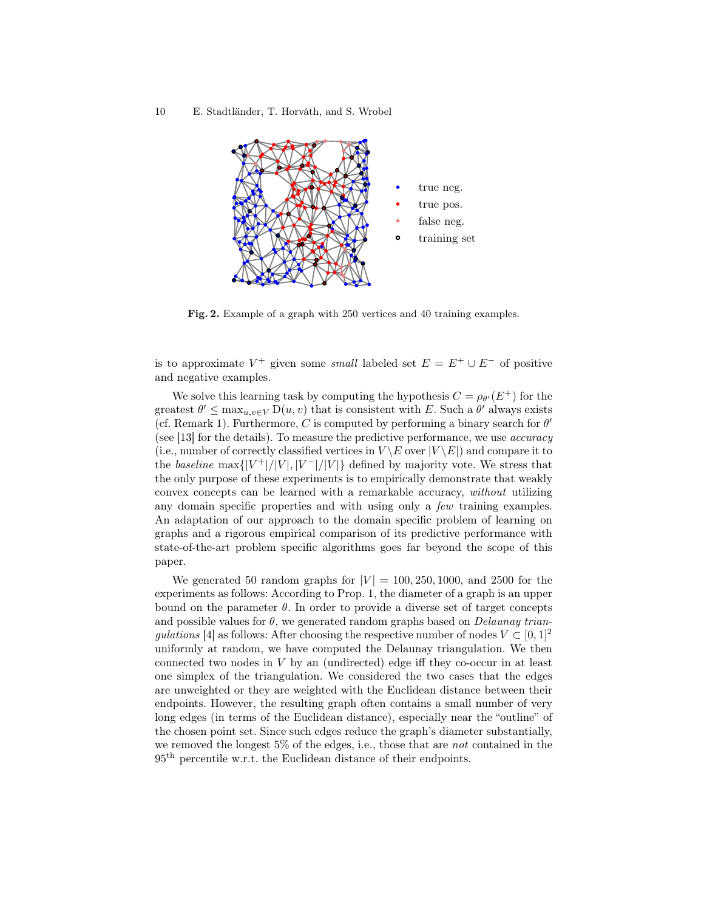

Fig. 2. Example of a graph with 250 vertices and 40 training examples.

is to approximate  $V^+$  given some *small* labeled set  $E = E^+ \cup E^-$  of positive and negative examples.

We solve this learning task by computing the hypothesis  $C = \rho_{\theta}(E^+)$  for the greatest  $\theta' \leq \max_{u,v \in V} D(u,v)$  that is consistent with E. Such a  $\theta'$  always exists (cf. Remark 1). Furthermore, C is computed by performing a binary search for  $\theta'$ (see [13] for the details). To measure the predictive performance, we use accuracy (i.e., number of correctly classified vertices in  $V \ E$  over  $|V \ E|$ ) and compare it to the baseline  $\max\{|V^+|/|V|, |V^-|/|V|\}$  defined by majority vote. We stress that the only purpose of these experiments is to empirically demonstrate that weakly convex concepts can be learned with a remarkable accuracy, without utilizing any domain specific properties and with using only a few training examples. An adaptation of our approach to the domain specific problem of learning on graphs and a rigorous empirical comparison of its predictive performance with state-of-the-art problem specific algorithms goes far beyond the scope of this paper.

We generated 50 random graphs for  $|V| = 100, 250, 1000$ , and 2500 for the experiments as follows: According to Prop. 1, the diameter of a graph is an upper bound on the parameter  $\theta$ . In order to provide a diverse set of target concepts and possible values for  $\theta$ , we generated random graphs based on *Delaunay trian*qulations [4] as follows: After choosing the respective number of nodes  $V \subset [0,1]^2$ uniformly at random, we have computed the Delaunay triangulation. We then connected two nodes in  $V$  by an (undirected) edge iff they co-occur in at least one simplex of the triangulation. We considered the two cases that the edges are unweighted or they are weighted with the Euclidean distance between their endpoints. However, the resulting graph often contains a small number of very long edges (in terms of the Euclidean distance), especially near the "outline" of the chosen point set. Since such edges reduce the graph's diameter substantially, we removed the longest 5% of the edges, i.e., those that are not contained in the 95th percentile w.r.t. the Euclidean distance of their endpoints.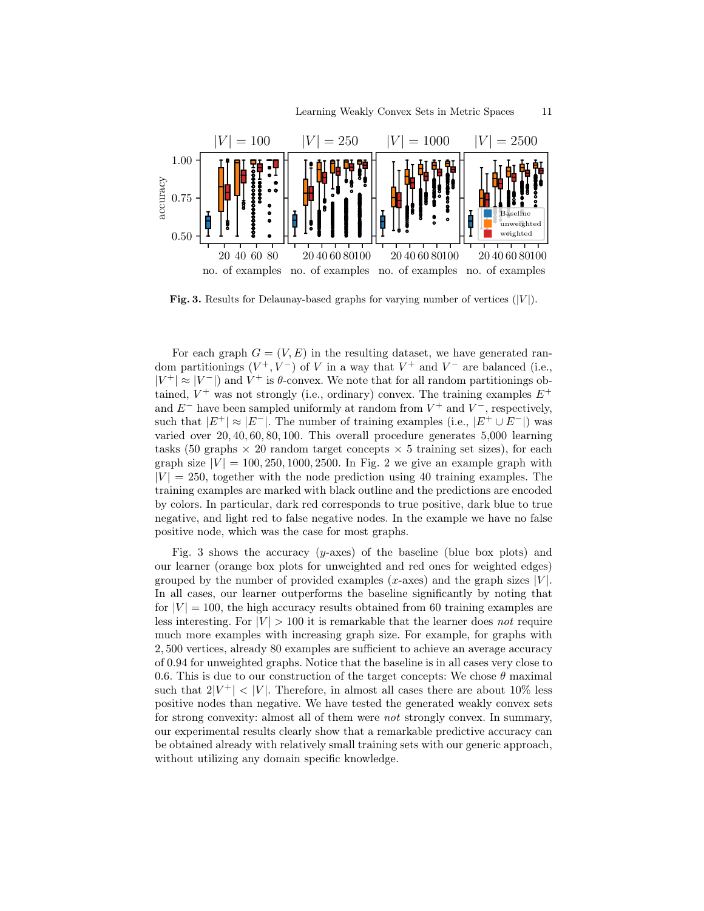

Fig. 3. Results for Delaunay-based graphs for varying number of vertices  $(|V|)$ .

For each graph  $G = (V, E)$  in the resulting dataset, we have generated random partitionings  $(V^+, V^-)$  of V in a way that  $V^+$  and  $V^-$  are balanced (i.e.,  $|V^+| \approx |V^-|$  and  $V^+$  is  $\theta$ -convex. We note that for all random partitionings obtained,  $V^+$  was not strongly (i.e., ordinary) convex. The training examples  $E^+$ and  $E^-$  have been sampled uniformly at random from  $V^+$  and  $V^-$ , respectively, such that  $|E^+| \approx |E^-|$ . The number of training examples (i.e.,  $|E^+ \cup E^-|$ ) was varied over 20, 40, 60, 80, 100. This overall procedure generates 5,000 learning tasks (50 graphs  $\times$  20 random target concepts  $\times$  5 training set sizes), for each graph size  $|V| = 100, 250, 1000, 2500$ . In Fig. 2 we give an example graph with  $|V| = 250$ , together with the node prediction using 40 training examples. The training examples are marked with black outline and the predictions are encoded by colors. In particular, dark red corresponds to true positive, dark blue to true negative, and light red to false negative nodes. In the example we have no false positive node, which was the case for most graphs.

Fig. 3 shows the accuracy  $(y\text{-axes})$  of the baseline (blue box plots) and our learner (orange box plots for unweighted and red ones for weighted edges) grouped by the number of provided examples  $(x\text{-axes})$  and the graph sizes  $|V|$ . In all cases, our learner outperforms the baseline significantly by noting that for  $|V| = 100$ , the high accuracy results obtained from 60 training examples are less interesting. For  $|V| > 100$  it is remarkable that the learner does not require much more examples with increasing graph size. For example, for graphs with 2, 500 vertices, already 80 examples are sufficient to achieve an average accuracy of 0.94 for unweighted graphs. Notice that the baseline is in all cases very close to 0.6. This is due to our construction of the target concepts: We chose  $\theta$  maximal such that  $2|V^+| < |V|$ . Therefore, in almost all cases there are about 10% less positive nodes than negative. We have tested the generated weakly convex sets for strong convexity: almost all of them were not strongly convex. In summary, our experimental results clearly show that a remarkable predictive accuracy can be obtained already with relatively small training sets with our generic approach, without utilizing any domain specific knowledge.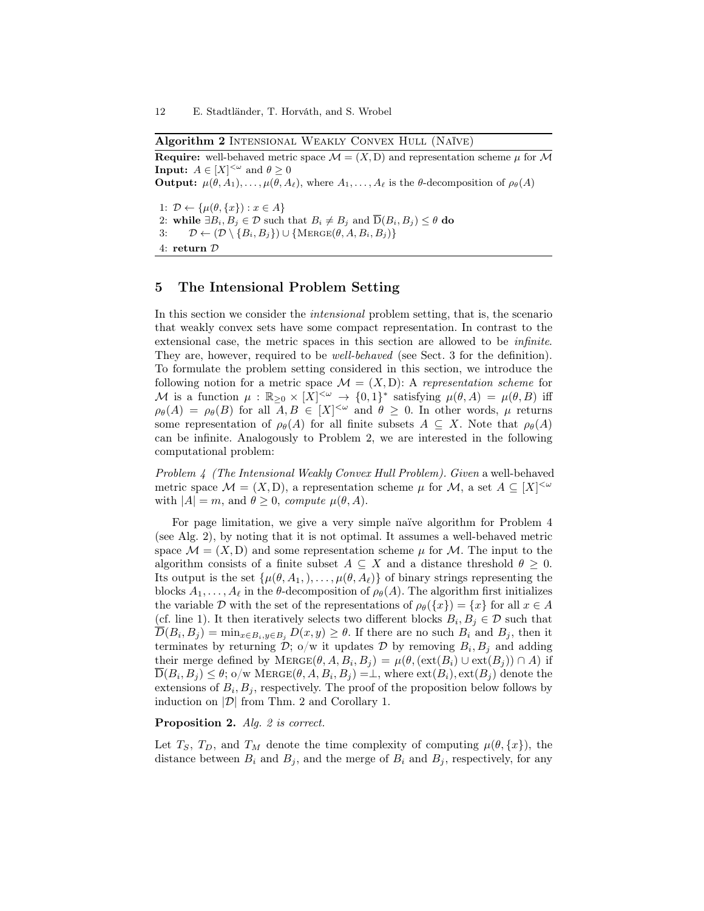Algorithm 2 INTENSIONAL WEAKLY CONVEX HULL (NAÏVE) **Require:** well-behaved metric space  $\mathcal{M} = (X, D)$  and representation scheme  $\mu$  for  $\mathcal{M}$ **Input:**  $A \in [X]^{<\omega}$  and  $\theta \geq 0$ **Output:**  $\mu(\theta, A_1), \ldots, \mu(\theta, A_\ell)$ , where  $A_1, \ldots, A_\ell$  is the  $\theta$ -decomposition of  $\rho_\theta(A)$ 

1:  $\mathcal{D} \leftarrow {\mu(\theta, \{x\}) : x \in A}$ 2: while  $\exists B_i, B_j \in \mathcal{D}$  such that  $B_i \neq B_j$  and  $\overline{D}(B_i, B_j) \leq \theta$  do 3:  $\mathcal{D} \leftarrow (\mathcal{D} \setminus \{B_i, B_j\}) \cup \{\text{Merge}(\theta, A, B_i, B_j)\}\$ 4: return D

# 5 The Intensional Problem Setting

In this section we consider the intensional problem setting, that is, the scenario that weakly convex sets have some compact representation. In contrast to the extensional case, the metric spaces in this section are allowed to be infinite. They are, however, required to be *well-behaved* (see Sect. 3 for the definition). To formulate the problem setting considered in this section, we introduce the following notion for a metric space  $\mathcal{M} = (X, D)$ : A representation scheme for M is a function  $\mu : \mathbb{R}_{\geq 0} \times [X]^{<\omega} \to \{0,1\}^*$  satisfying  $\mu(\theta, A) = \mu(\theta, B)$  iff  $\rho_{\theta}(A) = \rho_{\theta}(B)$  for all  $A, B \in [X]^{<\omega}$  and  $\theta \geq 0$ . In other words,  $\mu$  returns some representation of  $\rho_{\theta}(A)$  for all finite subsets  $A \subseteq X$ . Note that  $\rho_{\theta}(A)$ can be infinite. Analogously to Problem 2, we are interested in the following computational problem:

Problem 4 (The Intensional Weakly Convex Hull Problem). Given a well-behaved metric space  $\mathcal{M} = (X, D)$ , a representation scheme  $\mu$  for  $\mathcal{M}$ , a set  $A \subseteq [X]^{<\omega}$ with  $|A| = m$ , and  $\theta > 0$ , compute  $\mu(\theta, A)$ .

For page limitation, we give a very simple naïve algorithm for Problem 4 (see Alg. 2), by noting that it is not optimal. It assumes a well-behaved metric space  $\mathcal{M} = (X, D)$  and some representation scheme  $\mu$  for  $\mathcal{M}$ . The input to the algorithm consists of a finite subset  $A \subseteq X$  and a distance threshold  $\theta \geq 0$ . Its output is the set  $\{\mu(\theta, A_1), \dots, \mu(\theta, A_\ell)\}\$  of binary strings representing the blocks  $A_1, \ldots, A_\ell$  in the  $\theta$ -decomposition of  $\rho_\theta(A)$ . The algorithm first initializes the variable D with the set of the representations of  $\rho_{\theta}(\{x\}) = \{x\}$  for all  $x \in A$ (cf. line 1). It then iteratively selects two different blocks  $B_i, B_j \in \mathcal{D}$  such that  $D(B_i, B_j) = \min_{x \in B_i, y \in B_j} D(x, y) \ge \theta$ . If there are no such  $B_i$  and  $B_j$ , then it terminates by returning  $\mathcal{D}$ ; o/w it updates  $\mathcal{D}$  by removing  $B_i$ ,  $B_j$  and adding their merge defined by  $\text{MERGE}(\theta, A, B_i, B_j) = \mu(\theta, (\text{ext}(B_i) \cup \text{ext}(B_j)) \cap A)$  if  $\overline{\mathrm{D}}(B_i, B_j) \leq \theta$ ; o/w MERGE $(\theta, A, B_i, B_j) = \perp$ , where  $\mathrm{ext}(B_i)$ ,  $\mathrm{ext}(B_j)$  denote the extensions of  $B_i, B_j$ , respectively. The proof of the proposition below follows by induction on  $|\mathcal{D}|$  from Thm. 2 and Corollary 1.

#### Proposition 2. Alg. 2 is correct.

Let  $T<sub>S</sub>$ ,  $T<sub>D</sub>$ , and  $T<sub>M</sub>$  denote the time complexity of computing  $\mu(\theta, \{x\})$ , the distance between  $B_i$  and  $B_j$ , and the merge of  $B_i$  and  $B_j$ , respectively, for any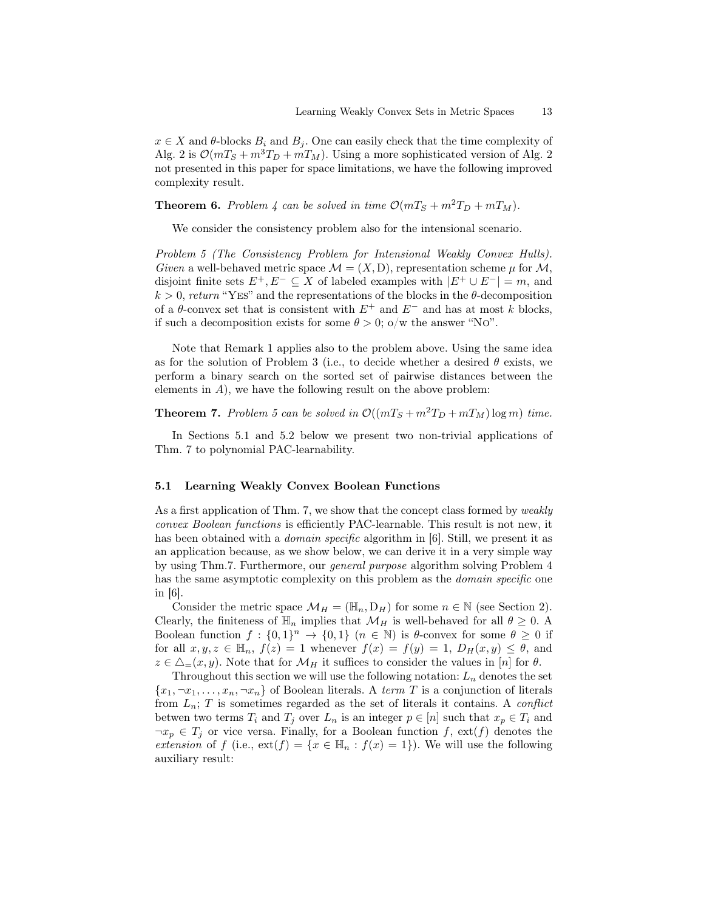$x \in X$  and  $\theta$ -blocks  $B_i$  and  $B_j$ . One can easily check that the time complexity of Alg. 2 is  $\mathcal{O}(mT_S + m^3T_D + mT_M)$ . Using a more sophisticated version of Alg. 2 not presented in this paper for space limitations, we have the following improved complexity result.

**Theorem 6.** Problem 4 can be solved in time  $\mathcal{O}(mT_S + m^2T_D + mT_M)$ .

We consider the consistency problem also for the intensional scenario.

Problem 5 (The Consistency Problem for Intensional Weakly Convex Hulls). Given a well-behaved metric space  $\mathcal{M} = (X, D)$ , representation scheme  $\mu$  for  $\mathcal{M}$ , disjoint finite sets  $E^+, E^- \subseteq X$  of labeled examples with  $|E^+ \cup E^-| = m$ , and  $k > 0$ , return "YES" and the representations of the blocks in the  $\theta$ -decomposition of a  $\theta$ -convex set that is consistent with  $E^+$  and  $E^-$  and has at most k blocks, if such a decomposition exists for some  $\theta > 0$ ; o/w the answer "No".

Note that Remark 1 applies also to the problem above. Using the same idea as for the solution of Problem 3 (i.e., to decide whether a desired  $\theta$  exists, we perform a binary search on the sorted set of pairwise distances between the elements in  $A$ ), we have the following result on the above problem:

**Theorem 7.** Problem 5 can be solved in  $\mathcal{O}((mT_S + m^2T_D + mT_M)\log m)$  time.

In Sections 5.1 and 5.2 below we present two non-trivial applications of Thm. 7 to polynomial PAC-learnability.

#### 5.1 Learning Weakly Convex Boolean Functions

As a first application of Thm. 7, we show that the concept class formed by weakly convex Boolean functions is efficiently PAC-learnable. This result is not new, it has been obtained with a *domain specific* algorithm in [6]. Still, we present it as an application because, as we show below, we can derive it in a very simple way by using Thm.7. Furthermore, our general purpose algorithm solving Problem 4 has the same asymptotic complexity on this problem as the *domain specific* one in [6].

Consider the metric space  $\mathcal{M}_H = (\mathbb{H}_n, D_H)$  for some  $n \in \mathbb{N}$  (see Section 2). Clearly, the finiteness of  $\mathbb{H}_n$  implies that  $\mathcal{M}_H$  is well-behaved for all  $\theta \geq 0$ . A Boolean function  $f: \{0,1\}^n \to \{0,1\}$   $(n \in \mathbb{N})$  is  $\theta$ -convex for some  $\theta \geq 0$  if for all  $x, y, z \in \mathbb{H}_n$ ,  $f(z) = 1$  whenever  $f(x) = f(y) = 1$ ,  $D_H(x, y) \leq \theta$ , and  $z \in \Delta_{=}(x, y)$ . Note that for  $\mathcal{M}_H$  it suffices to consider the values in [n] for  $\theta$ .

Throughout this section we will use the following notation:  $L_n$  denotes the set  ${x_1, \neg x_1, \ldots, x_n, \neg x_n}$  of Boolean literals. A term T is a conjunction of literals from  $L_n$ ; T is sometimes regarded as the set of literals it contains. A *conflict* betwen two terms  $T_i$  and  $T_j$  over  $L_n$  is an integer  $p \in [n]$  such that  $x_p \in T_i$  and  $\neg x_p \in T_j$  or vice versa. Finally, for a Boolean function f, ext(f) denotes the extension of f (i.e.,  $ext(f) = \{x \in \mathbb{H}_n : f(x) = 1\}$ ). We will use the following auxiliary result: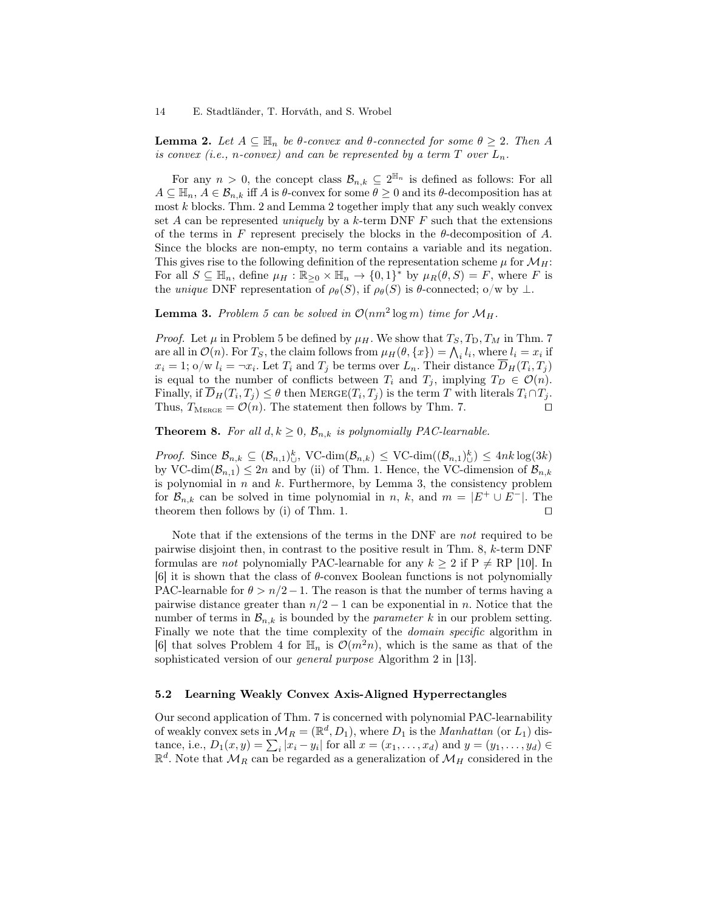**Lemma 2.** Let  $A \subseteq \mathbb{H}_n$  be  $\theta$ -convex and  $\theta$ -connected for some  $\theta \geq 2$ . Then A is convex (i.e., n-convex) and can be represented by a term  $T$  over  $L_n$ .

For any  $n > 0$ , the concept class  $\mathcal{B}_{n,k} \subseteq 2^{\mathbb{H}_n}$  is defined as follows: For all  $A \subseteq \mathbb{H}_n, A \in \mathcal{B}_{n,k}$  iff A is  $\theta$ -convex for some  $\theta \geq 0$  and its  $\theta$ -decomposition has at most k blocks. Thm. 2 and Lemma 2 together imply that any such weakly convex set  $A$  can be represented *uniquely* by a  $k$ -term DNF  $F$  such that the extensions of the terms in F represent precisely the blocks in the  $\theta$ -decomposition of A. Since the blocks are non-empty, no term contains a variable and its negation. This gives rise to the following definition of the representation scheme  $\mu$  for  $\mathcal{M}_H$ : For all  $S \subseteq \mathbb{H}_n$ , define  $\mu_H : \mathbb{R}_{\geq 0} \times \mathbb{H}_n \to \{0,1\}^*$  by  $\mu_R(\theta, S) = F$ , where F is the unique DNF representation of  $\rho_{\theta}(S)$ , if  $\rho_{\theta}(S)$  is  $\theta$ -connected; o/w by  $\bot$ .

**Lemma 3.** Problem 5 can be solved in  $\mathcal{O}(nm^2 \log m)$  time for  $\mathcal{M}_H$ .

*Proof.* Let  $\mu$  in Problem 5 be defined by  $\mu$ . We show that  $T_S, T_D, T_M$  in Thm. 7 are all in  $\mathcal{O}(n)$ . For  $T_S$ , the claim follows from  $\mu_H(\theta, \{x\}) = \bigwedge_i l_i$ , where  $l_i = x_i$  if  $x_i = 1$ ;  $o/w l_i = \neg x_i$ . Let  $T_i$  and  $T_j$  be terms over  $L_n$ . Their distance  $D_H(T_i, T_j)$ is equal to the number of conflicts between  $T_i$  and  $T_j$ , implying  $T_D \in \mathcal{O}(n)$ . Finally, if  $\overline{D}_H(T_i, T_j) \leq \theta$  then  $\text{Merge}(T_i, T_j)$  is the term T with literals  $T_i \cap T_j$ . Thus,  $T_{\text{Merge}} = \mathcal{O}(n)$ . The statement then follows by Thm. 7.

**Theorem 8.** For all  $d, k \geq 0$ ,  $\mathcal{B}_{n,k}$  is polynomially PAC-learnable.

*Proof.* Since  $\mathcal{B}_{n,k} \subseteq (\mathcal{B}_{n,1})_U^k$ , VC-dim $(\mathcal{B}_{n,k}) \leq \text{VC-dim}((\mathcal{B}_{n,1})_U^k) \leq 4nk \log(3k)$ by VC-dim $(\mathcal{B}_{n,1}) \leq 2n$  and by (ii) of Thm. 1. Hence, the VC-dimension of  $\mathcal{B}_{n,k}$ is polynomial in  $n$  and  $k$ . Furthermore, by Lemma 3, the consistency problem for  $\mathcal{B}_{n,k}$  can be solved in time polynomial in n, k, and  $m = |E^+ \cup E^-|$ . The theorem then follows by (i) of Thm. 1. theorem then follows by  $(i)$  of Thm. 1.

Note that if the extensions of the terms in the DNF are not required to be pairwise disjoint then, in contrast to the positive result in Thm. 8, k-term DNF formulas are *not* polynomially PAC-learnable for any  $k \geq 2$  if  $P \neq RP$  [10]. In [6] it is shown that the class of  $\theta$ -convex Boolean functions is not polynomially PAC-learnable for  $\theta > n/2-1$ . The reason is that the number of terms having a pairwise distance greater than  $n/2 - 1$  can be exponential in n. Notice that the number of terms in  $\mathcal{B}_{n,k}$  is bounded by the *parameter* k in our problem setting. Finally we note that the time complexity of the *domain specific* algorithm in [6] that solves Problem 4 for  $\mathbb{H}_n$  is  $\mathcal{O}(m^2n)$ , which is the same as that of the sophisticated version of our *general purpose* Algorithm 2 in [13].

#### 5.2 Learning Weakly Convex Axis-Aligned Hyperrectangles

Our second application of Thm. 7 is concerned with polynomial PAC-learnability of weakly convex sets in  $\mathcal{M}_R = (\mathbb{R}^d, D_1)$ , where  $D_1$  is the *Manhattan* (or  $L_1$ ) distance, i.e.,  $D_1(x, y) = \sum_i |x_i - y_i|$  for all  $x = (x_1, \ldots, x_d)$  and  $y = (y_1, \ldots, y_d) \in$  $\mathbb{R}^d$ . Note that  $\mathcal{M}_R$  can be regarded as a generalization of  $\mathcal{M}_H$  considered in the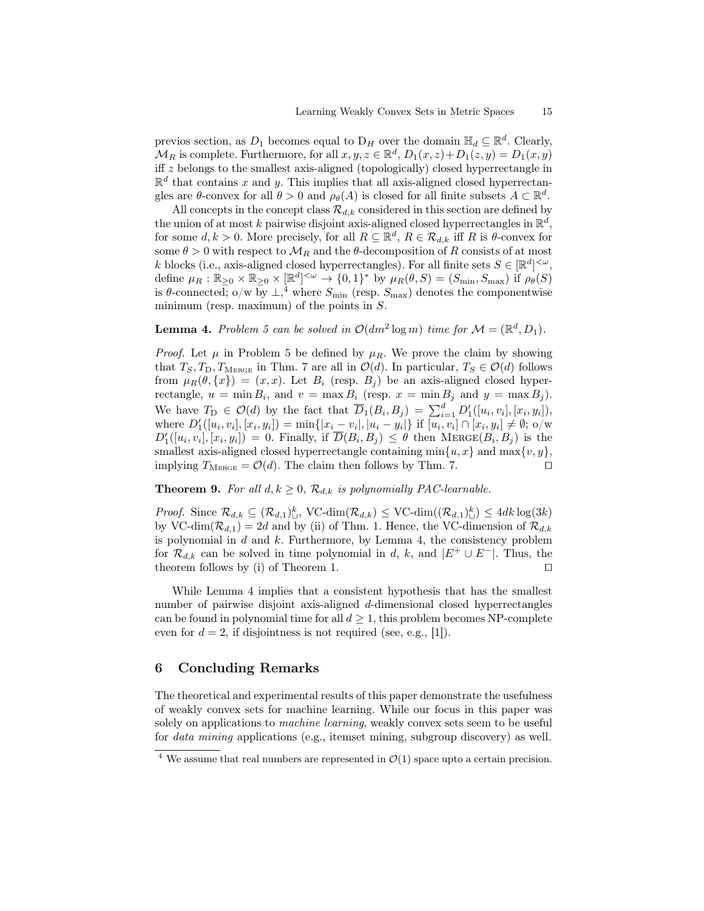previos section, as  $D_1$  becomes equal to  $D_H$  over the domain  $\mathbb{H}_d \subseteq \mathbb{R}^d$ . Clearly,  $\mathcal{M}_R$  is complete. Furthermore, for all  $x, y, z \in \mathbb{R}^d$ ,  $D_1(x, z) + D_1(z, y) = D_1(x, y)$ iff z belongs to the smallest axis-aligned (topologically) closed hyperrectangle in  $\mathbb{R}^d$  that contains x and y. This implies that all axis-aligned closed hyperrectangles are  $\theta$ -convex for all  $\theta > 0$  and  $\rho_{\theta}(A)$  is closed for all finite subsets  $A \subset \mathbb{R}^d$ .

All concepts in the concept class  $\mathcal{R}_{d,k}$  considered in this section are defined by the union of at most k pairwise disjoint axis-aligned closed hyperrectangles in  $\mathbb{R}^d$ , for some  $d, k > 0$ . More precisely, for all  $R \subseteq \mathbb{R}^d$ ,  $R \in \mathcal{R}_{d,k}$  iff R is  $\theta$ -convex for some  $\theta > 0$  with respect to  $\mathcal{M}_R$  and the  $\theta$ -decomposition of R consists of at most k blocks (i.e., axis-aligned closed hyperrectangles). For all finite sets  $S \in [\mathbb{R}^d]^{<\omega}$ , define  $\mu_R : \mathbb{R}_{\geq 0} \times \mathbb{R}_{\geq 0} \times [\mathbb{R}^d]^{<\omega} \to \{0,1\}^*$  by  $\mu_R(\theta, S) = (S_{\min}, S_{\max})$  if  $\rho_\theta(S)$ is  $\theta$ -connected; o/w by  $\perp$ ,<sup>4</sup> where  $S_{\text{min}}$  (resp.  $S_{\text{max}}$ ) denotes the componentwise minimum (resp. maximum) of the points in S.

# **Lemma 4.** Problem 5 can be solved in  $\mathcal{O}(dm^2 \log m)$  time for  $\mathcal{M} = (\mathbb{R}^d, D_1)$ .

*Proof.* Let  $\mu$  in Problem 5 be defined by  $\mu_R$ . We prove the claim by showing that  $T_S, T_D, T_{\text{Merge}}$  in Thm. 7 are all in  $\mathcal{O}(d)$ . In particular,  $T_S \in \mathcal{O}(d)$  follows from  $\mu_R(\theta, \{x\}) = (x, x)$ . Let  $B_i$  (resp.  $B_j$ ) be an axis-aligned closed hyperrectangle,  $u = \min B_i$ , and  $v = \max B_i$  (resp.  $x = \min B_j$  and  $y = \max B_j$ ). We have  $T_D \in \mathcal{O}(d)$  by the fact that  $\overline{D}_1(B_i, B_j) = \sum_{i=1}^d D'_1([u_i, v_i], [x_i, y_i]),$ where  $D'_1([u_i, v_i], [x_i, y_i]) = \min\{|x_i - v_i|, |u_i - y_i|\}$  if  $[u_i, v_i] \cap [x_i, y_i] \neq \emptyset$ ; o/w  $D'_1([u_i, v_i], [x_i, y_i]) = 0$ . Finally, if  $\overline{D}(B_i, B_j) \leq \theta$  then  $\text{Merge}(B_i, B_j)$  is the smallest axis-aligned closed hyperrectangle containing min $\{u, x\}$  and max $\{v, y\}$ ,<br>implying  $T_{\text{Mepger}} = \mathcal{O}(d)$ . The claim then follows by Thm. 7. implying  $T_{\text{Merge}} = \mathcal{O}(d)$ . The claim then follows by Thm. 7.

# **Theorem 9.** For all  $d, k \geq 0$ ,  $\mathcal{R}_{d,k}$  is polynomially PAC-learnable.

Proof. Since  $\mathcal{R}_{d,k} \subseteq (\mathcal{R}_{d,1})_{{\cup}}^k$ , VC-dim $(\mathcal{R}_{d,k}) \leq$  VC-dim $((\mathcal{R}_{d,1})_{{\cup}}^k) \leq 4dk \log(3k)$ by VC-dim $(\mathcal{R}_{d,1}) = 2d$  and by (ii) of Thm. 1. Hence, the VC-dimension of  $\mathcal{R}_{d,k}$ is polynomial in  $d$  and  $k$ . Furthermore, by Lemma 4, the consistency problem for  $\mathcal{R}_{d,k}$  can be solved in time polynomial in d, k, and  $|E^+ \cup E^-|$ . Thus, the theorem follows by (i) of Theorem 1. theorem follows by  $(i)$  of Theorem 1.

While Lemma 4 implies that a consistent hypothesis that has the smallest number of pairwise disjoint axis-aligned d-dimensional closed hyperrectangles can be found in polynomial time for all  $d \geq 1$ , this problem becomes NP-complete even for  $d = 2$ , if disjointness is not required (see, e.g., [1]).

## 6 Concluding Remarks

The theoretical and experimental results of this paper demonstrate the usefulness of weakly convex sets for machine learning. While our focus in this paper was solely on applications to *machine learning*, weakly convex sets seem to be useful for data mining applications (e.g., itemset mining, subgroup discovery) as well.

<sup>&</sup>lt;sup>4</sup> We assume that real numbers are represented in  $\mathcal{O}(1)$  space upto a certain precision.